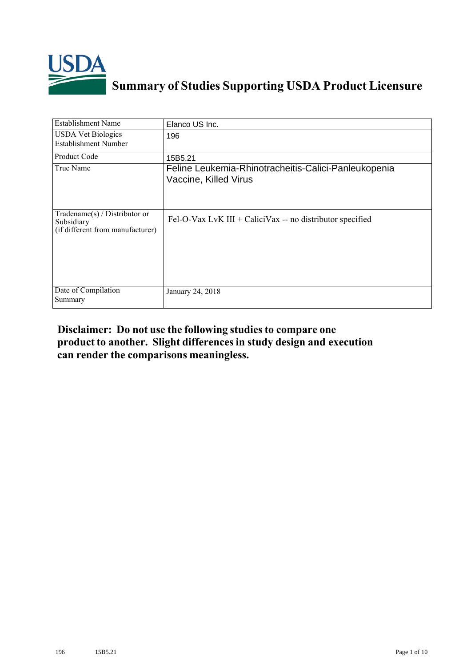

## **Summary of Studies Supporting USDA Product Licensure**

| <b>Establishment Name</b>                                                         | Elanco US Inc.                                                                |
|-----------------------------------------------------------------------------------|-------------------------------------------------------------------------------|
| <b>USDA Vet Biologics</b><br><b>Establishment Number</b>                          | 196                                                                           |
| Product Code                                                                      | 15B5.21                                                                       |
| True Name                                                                         | Feline Leukemia-Rhinotracheitis-Calici-Panleukopenia<br>Vaccine, Killed Virus |
| $Tradename(s) / Distributor$ or<br>Subsidiary<br>(if different from manufacturer) | Fel-O-Vax LvK III + CaliciVax -- no distributor specified                     |
| Date of Compilation<br>Summary                                                    | January 24, 2018                                                              |

## **Disclaimer: Do not use the following studiesto compare one product to another. Slight differencesin study design and execution can render the comparisons meaningless.**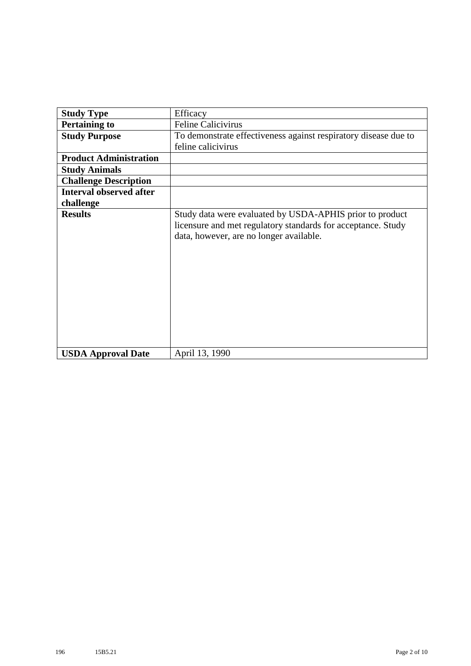| <b>Study Type</b>              | Efficacy                                                                                                                                                            |
|--------------------------------|---------------------------------------------------------------------------------------------------------------------------------------------------------------------|
| <b>Pertaining to</b>           | <b>Feline Calicivirus</b>                                                                                                                                           |
| <b>Study Purpose</b>           | To demonstrate effectiveness against respiratory disease due to                                                                                                     |
|                                | feline calicivirus                                                                                                                                                  |
| <b>Product Administration</b>  |                                                                                                                                                                     |
| <b>Study Animals</b>           |                                                                                                                                                                     |
| <b>Challenge Description</b>   |                                                                                                                                                                     |
| <b>Interval observed after</b> |                                                                                                                                                                     |
| challenge                      |                                                                                                                                                                     |
| <b>Results</b>                 | Study data were evaluated by USDA-APHIS prior to product<br>licensure and met regulatory standards for acceptance. Study<br>data, however, are no longer available. |
| <b>USDA Approval Date</b>      | April 13, 1990                                                                                                                                                      |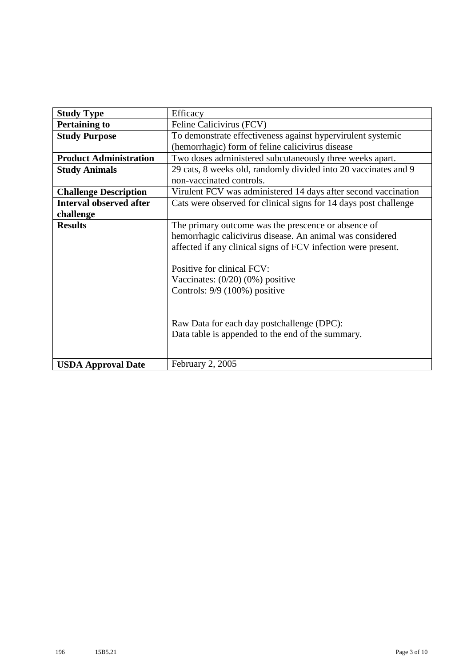| <b>Study Type</b>              | Efficacy                                                         |
|--------------------------------|------------------------------------------------------------------|
| <b>Pertaining to</b>           | Feline Calicivirus (FCV)                                         |
| <b>Study Purpose</b>           | To demonstrate effectiveness against hypervirulent systemic      |
|                                | (hemorrhagic) form of feline calicivirus disease                 |
| <b>Product Administration</b>  | Two doses administered subcutaneously three weeks apart.         |
| <b>Study Animals</b>           | 29 cats, 8 weeks old, randomly divided into 20 vaccinates and 9  |
|                                | non-vaccinated controls.                                         |
| <b>Challenge Description</b>   | Virulent FCV was administered 14 days after second vaccination   |
| <b>Interval observed after</b> | Cats were observed for clinical signs for 14 days post challenge |
| challenge                      |                                                                  |
| <b>Results</b>                 | The primary outcome was the prescence or absence of              |
|                                | hemorrhagic calicivirus disease. An animal was considered        |
|                                | affected if any clinical signs of FCV infection were present.    |
|                                |                                                                  |
|                                | Positive for clinical FCV:                                       |
|                                | Vaccinates: $(0/20)$ $(0%)$ positive                             |
|                                | Controls: 9/9 (100%) positive                                    |
|                                |                                                                  |
|                                |                                                                  |
|                                | Raw Data for each day postchallenge (DPC):                       |
|                                | Data table is appended to the end of the summary.                |
|                                |                                                                  |
|                                |                                                                  |
| <b>USDA Approval Date</b>      | February 2, 2005                                                 |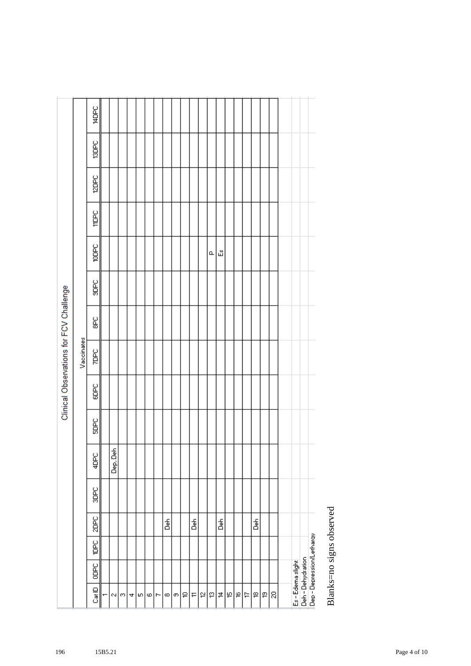|                                                |          |        |      |      |             |      |      | Clinical Observations for FCV Challenge |    |      |             |              |              |              |             |
|------------------------------------------------|----------|--------|------|------|-------------|------|------|-----------------------------------------|----|------|-------------|--------------|--------------|--------------|-------------|
|                                                |          |        |      |      |             |      |      | Vaccinates                              |    |      |             |              |              |              |             |
| Cat iD                                         | ooc<br>B | р<br>Р | 2DPC | 3DPC | <b>ADPC</b> | SDPC | SOPC | <b>ZDPC</b>                             | 96 | SOBC | <b>Japp</b> | <b>Jabit</b> | <b>ISDEC</b> | <b>TSDPC</b> | <b>ADPC</b> |
|                                                |          |        |      |      |             |      |      |                                         |    |      |             |              |              |              |             |
| ∾∣                                             |          |        |      |      | Dep, Deh    |      |      |                                         |    |      |             |              |              |              |             |
| 0                                              |          |        |      |      |             |      |      |                                         |    |      |             |              |              |              |             |
| 4                                              |          |        |      |      |             |      |      |                                         |    |      |             |              |              |              |             |
| 피                                              |          |        |      |      |             |      |      |                                         |    |      |             |              |              |              |             |
| ω۱                                             |          |        |      |      |             |      |      |                                         |    |      |             |              |              |              |             |
| r-                                             |          |        |      |      |             |      |      |                                         |    |      |             |              |              |              |             |
| ∞                                              |          |        | á    |      |             |      |      |                                         |    |      |             |              |              |              |             |
| თ                                              |          |        |      |      |             |      |      |                                         |    |      |             |              |              |              |             |
| ₽                                              |          |        |      |      |             |      |      |                                         |    |      |             |              |              |              |             |
| F                                              |          |        | å    |      |             |      |      |                                         |    |      |             |              |              |              |             |
| 5                                              |          |        |      |      |             |      |      |                                         |    |      |             |              |              |              |             |
| g.                                             |          |        |      |      |             |      |      |                                         |    |      | $\alpha$    |              |              |              |             |
| 후                                              |          |        | å    |      |             |      |      |                                         |    |      | 础           |              |              |              |             |
| ۴                                              |          |        |      |      |             |      |      |                                         |    |      |             |              |              |              |             |
| $\mathfrak{S}$                                 |          |        |      |      |             |      |      |                                         |    |      |             |              |              |              |             |
| Ħ                                              |          |        |      |      |             |      |      |                                         |    |      |             |              |              |              |             |
| ₽                                              |          |        | å    |      |             |      |      |                                         |    |      |             |              |              |              |             |
| P                                              |          |        |      |      |             |      |      |                                         |    |      |             |              |              |              |             |
| g                                              |          |        |      |      |             |      |      |                                         |    |      |             |              |              |              |             |
|                                                |          |        |      |      |             |      |      |                                         |    |      |             |              |              |              |             |
| Es - Edema slight                              |          |        |      |      |             |      |      |                                         |    |      |             |              |              |              |             |
| Deh - Dehydration<br>Dep - Depression/Lethargy |          |        |      |      |             |      |      |                                         |    |      |             |              |              |              |             |
|                                                |          |        |      |      |             |      |      |                                         |    |      |             |              |              |              |             |

Blanks=no signs observed Blanks=no signs observed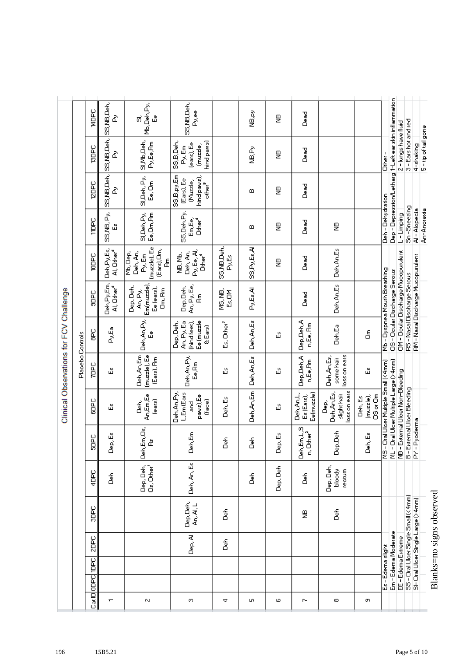|                                         |                  | <b>Jabb</b>  | SS,NB,Deh,<br>ò                        | Mb,Deh,Py,<br>்<br>ů                                              | SS, NB, Deh,<br>Py.ee                                                     |                        | ke,ey                  | g        | as<br>گ                                 |                                                   |                                 |                                    |                                                       |                                    |                                   |                                    |                          |
|-----------------------------------------|------------------|--------------|----------------------------------------|-------------------------------------------------------------------|---------------------------------------------------------------------------|------------------------|------------------------|----------|-----------------------------------------|---------------------------------------------------|---------------------------------|------------------------------------|-------------------------------------------------------|------------------------------------|-----------------------------------|------------------------------------|--------------------------|
|                                         |                  | 13DPC        | SS, NB, Deh,<br>₫                      | SI, Mb, Deh,<br>Py,Ee,Rm                                          | hind paws)<br>SS,B,Deh,<br>(ears), Ee<br>(muzzle,<br>Py, Em               |                        | ar<br>9                | ₿        | Dead                                    |                                                   |                                 | other-                             |                                                       | 2-lungs have fluid                 | 3-Earshot and red                 | 4-shaking                          | 5-tip of tail gone       |
|                                         |                  | <b>Sabo</b>  | SS,NB,Deh,<br>₫                        | SI, Deh, Py,<br>Ee, Om                                            | 55,B,py,Em<br>hind paws),<br>(Ears), Ee<br>(Muzzle,<br>other <sup>5</sup> |                        | മ                      | ₿        | <b>Dead</b>                             |                                                   |                                 |                                    | Dep - Depression/Letharg 1-Left ear skin inflammation |                                    |                                   |                                    |                          |
|                                         |                  | <b>TIDPC</b> | SS,NB, Py,<br>ペ                        | Ee,Om, Rm<br>SI, Deh, Py,                                         | SS, Deh, Py,<br>Other <sup>4</sup><br>Em,Ee,                              |                        | ⅏                      | ₿        | Dead                                    | ₿                                                 |                                 | Deh - Dehydration                  |                                                       | L-Limping                          | Sn-Sneezing                       | Al-Alopecia                        | An-Anorexia              |
|                                         |                  | <b>Coop</b>  | Deh, Py, Es,<br>Al, Other <sup>4</sup> | (muzzle), Ee<br>(Ears),Om,<br>Deh, An,<br>Mb, Dep,<br>Py, Em<br>훈 | Py, Ee, Al,<br>Deh, An,<br>NB, Mb,<br>Other <sup>4</sup>                  | SS,NB,Deh,<br>Py.Es    | <b>A</b><br>SSLA<br>SS | ₿        | Dead                                    | Deh, An, Es                                       |                                 |                                    |                                                       |                                    |                                   |                                    |                          |
|                                         |                  | SOBC         | Deh,Py,Em,<br>Al, Other <sup>4</sup>   | Em(muzzle),<br>Dep, Deh,<br>Ee (ears),<br>Om, Rm<br>An, Py,       | An, Py, Ee,<br>Dep, Deh,<br>å                                             | MS, NB,<br>Es, OM      | Py.Es.Al               |          | <b>Dead</b>                             | Deh, An, Es                                       |                                 | Mb - Dyspnea Mouth Breathing       | OS - Ocular Discharge Serous                          | OM - Ocular Discharge Mucopurulent | RS - Nasal Discharge Serous       | RM - Nasal Discharge Mucopurulent  |                          |
|                                         |                  | e<br>8       | Py.Ea                                  | Deh, An, Py,<br>ů                                                 | (hind feet),<br>Ee (muzzle<br>An, Py, Ea<br>Dep, Deh,<br>& Ears)          | Es, Other <sup>3</sup> | Deh, An, Es            | 础        | Dep,Deh,A<br>n.Ee, Rm                   | Deh,Ea                                            | å                               |                                    |                                                       |                                    |                                   |                                    |                          |
| Clinical Observations for FCV Challenge | Placebo Controls | <b>Sadz</b>  | 씮                                      | (muzzle), Ee<br>Deh,An,Em<br>(Ears), Rm                           | Deh, An, Py,<br>Ee, Rm                                                    | <u>س</u>               | Deh, An, Es            | ۵Ľ       | Dep,Deh,A<br>n,Ee,Rm                    | loss on ears<br>Deh,An,Es,<br>some hair           | Ğ,                              |                                    |                                                       |                                    |                                   |                                    |                          |
|                                         |                  | SOPC         | 础                                      | An,Em,Ee<br>(ears)<br>a<br>B                                      | L,Em (Ears<br>Deh,An,Py,<br>paws), Ee<br>(face)<br>]<br>동                 | Deh, Es                | Deh,An,Em              | ů,       | Deh, An, L,<br>Ee(muzzle)<br>Es (Ears), | loss on ears<br>Deh, An, Es,<br>slight hair<br>٩À | ნ<br>89<br>(muzzle),<br>Deh, Es | - Oral Ulcer Multiple Small (<4mm) | ML - Oral Ulcer Multiple Large (>4mm)                 | NB - External Ulcer Non-Bleeding   | B-External Ulcer Bleeding         |                                    |                          |
|                                         |                  | <b>SOPC</b>  | Jep, Es<br>⊔                           | Deh,Em,Os,<br>å                                                   | Deh,Em                                                                    | 훕                      | á                      | Dep.Es   | Deh,Em,L,S<br>Other <sup>2</sup><br>È   | Dep,Deh                                           | Jeh, Es<br>⊔                    | ∣ଞୁ                                |                                                       |                                    |                                   | PY-Pyoderma                        |                          |
|                                         |                  | 4DPC         | る                                      | Dep, Deh,<br>م<br>Os, Other                                       | Deh, An, Es                                                               |                        | 울                      | Dep, Deh | 훕                                       | Dep, Deh,<br>bloody<br>rectum                     |                                 |                                    |                                                       |                                    |                                   |                                    |                          |
|                                         |                  | 임<br>응       |                                        |                                                                   | Dep,Deh,<br>An, Al, L                                                     | 훎                      |                        |          | ₿                                       | 울                                                 |                                 |                                    |                                                       |                                    | SS-Dral Ulcer Single Small (<4mm) | SI- Oral Ulcer Single Large (>4mm) | Blanks=no signs observed |
|                                         |                  | 2DPC         |                                        |                                                                   | Dep. Al                                                                   | る                      |                        |          |                                         |                                                   |                                 |                                    | Em - Edema Moderate                                   |                                    |                                   |                                    |                          |
|                                         |                  | <b>TOPC</b>  |                                        |                                                                   |                                                                           |                        |                        |          |                                         |                                                   |                                 | Es-Edemaslight                     |                                                       | EE - Edema Extreme                 |                                   |                                    |                          |
|                                         |                  | Cat DioDPC   |                                        |                                                                   |                                                                           |                        |                        |          |                                         |                                                   |                                 |                                    |                                                       |                                    |                                   |                                    |                          |
|                                         |                  |              | $\mathbf{\tau}$                        | $\mathsf{N}$                                                      | 0                                                                         | 4                      | m.                     | ω        | r-                                      | œ                                                 | თ                               |                                    |                                                       |                                    |                                   |                                    |                          |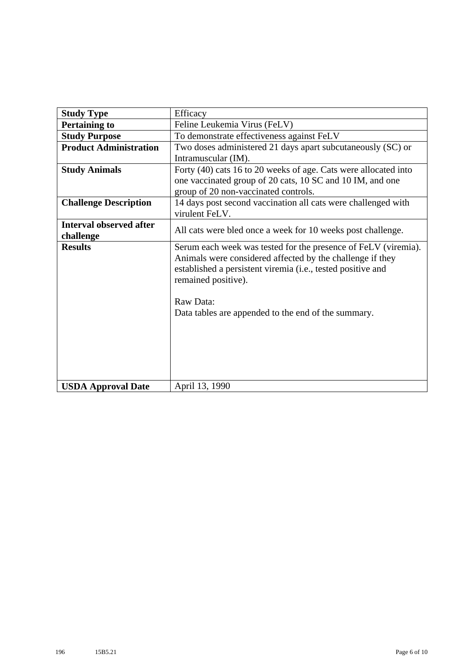| <b>Study Type</b>              | Efficacy                                                                                                                                                                                                          |
|--------------------------------|-------------------------------------------------------------------------------------------------------------------------------------------------------------------------------------------------------------------|
| <b>Pertaining to</b>           | Feline Leukemia Virus (FeLV)                                                                                                                                                                                      |
| <b>Study Purpose</b>           | To demonstrate effectiveness against FeLV                                                                                                                                                                         |
| <b>Product Administration</b>  | Two doses administered 21 days apart subcutaneously (SC) or                                                                                                                                                       |
|                                | Intramuscular (IM).                                                                                                                                                                                               |
| <b>Study Animals</b>           | Forty (40) cats 16 to 20 weeks of age. Cats were allocated into                                                                                                                                                   |
|                                | one vaccinated group of 20 cats, 10 SC and 10 IM, and one                                                                                                                                                         |
|                                | group of 20 non-vaccinated controls.                                                                                                                                                                              |
| <b>Challenge Description</b>   | 14 days post second vaccination all cats were challenged with                                                                                                                                                     |
|                                | virulent FeLV.                                                                                                                                                                                                    |
| <b>Interval observed after</b> | All cats were bled once a week for 10 weeks post challenge.                                                                                                                                                       |
| challenge                      |                                                                                                                                                                                                                   |
| <b>Results</b>                 | Serum each week was tested for the presence of FeLV (viremia).<br>Animals were considered affected by the challenge if they<br>established a persistent viremia (i.e., tested positive and<br>remained positive). |
|                                | Raw Data:                                                                                                                                                                                                         |
|                                | Data tables are appended to the end of the summary.                                                                                                                                                               |
|                                |                                                                                                                                                                                                                   |
|                                |                                                                                                                                                                                                                   |
|                                |                                                                                                                                                                                                                   |
|                                |                                                                                                                                                                                                                   |
|                                |                                                                                                                                                                                                                   |
| <b>USDA Approval Date</b>      | April 13, 1990                                                                                                                                                                                                    |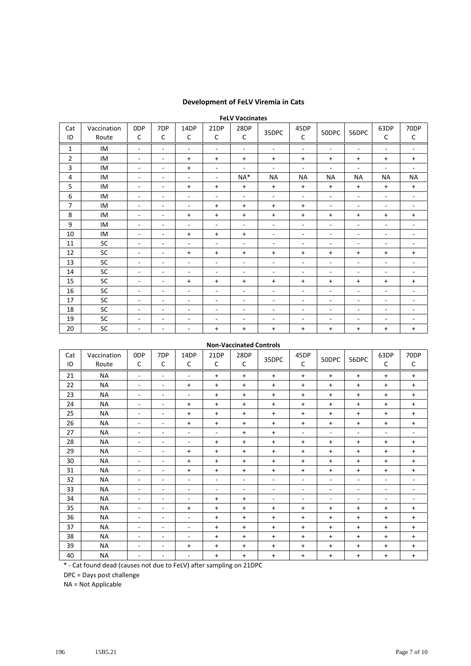## **Development of FeLV Viremia in Cats**

|                |                      |                          |                          |                          |                          | <b>FeLV Vaccinates</b>   |                          |                          |                          |                          |                          |                          |
|----------------|----------------------|--------------------------|--------------------------|--------------------------|--------------------------|--------------------------|--------------------------|--------------------------|--------------------------|--------------------------|--------------------------|--------------------------|
| Cat<br>ID      | Vaccination<br>Route | 0 <sub>DP</sub><br>C     | 7DP<br>C                 | 14DP<br>C                | 21DP<br>C                | 28DP<br>C                | 35DPC                    | 45DP<br>C                | 50DPC                    | 56DPC                    | 63DP<br>C                | 70DP<br>$\mathsf{C}$     |
| 1              | IM                   | ÷.                       | $\sim$                   | $\sim$                   | $\sim$                   | $\sim$                   | $\overline{\phantom{a}}$ | $\sim$                   | $\overline{\phantom{a}}$ | $\overline{\phantom{a}}$ | $\sim$                   | $\sim$                   |
| $\overline{2}$ | IM                   | $\overline{\phantom{a}}$ | $\overline{\phantom{a}}$ | $+$                      | $\ddot{}$                | $+$                      | $\ddot{}$                | $\ddot{}$                | $\ddot{}$                | $+$                      | $\ddot{}$                | $\ddot{}$                |
| 3              | IM                   | $\overline{\phantom{a}}$ | ٠                        | $+$                      | $\overline{\phantom{a}}$ | $\sim$                   | $\overline{\phantom{a}}$ | $\overline{\phantom{a}}$ | $\sim$                   | $\overline{\phantom{a}}$ | ٠                        | $\overline{\phantom{a}}$ |
| 4              | IM                   | $\overline{\phantom{a}}$ | ٠                        | $\overline{\phantom{a}}$ | ۰.                       | $NA*$                    | <b>NA</b>                | <b>NA</b>                | <b>NA</b>                | <b>NA</b>                | <b>NA</b>                | <b>NA</b>                |
| 5              | IM                   | $\overline{\phantom{a}}$ | ٠                        | $\ddot{}$                | $\ddot{}$                | $\ddot{}$                | $\ddot{}$                | $\ddot{}$                | $\ddot{}$                | $+$                      | $\ddot{}$                | $\ddot{}$                |
| 6              | IM                   | $\sim$                   | ٠                        | $\overline{\phantom{a}}$ | $\blacksquare$           | ÷.                       | ٠                        | $\overline{\phantom{a}}$ | ÷.                       | $\sim$                   | $\overline{\phantom{a}}$ | $\sim$                   |
| 7              | IM                   | $\overline{\phantom{a}}$ | ٠                        | $\overline{\phantom{a}}$ | $\ddot{}$                | $\ddot{}$                | $\ddot{}$                | $\ddot{}$                | ٠                        | $\overline{\phantom{a}}$ | $\overline{\phantom{a}}$ | $\overline{\phantom{a}}$ |
| 8              | IM                   | $\overline{\phantom{a}}$ | ٠                        | $+$                      | $\ddot{}$                | $\ddot{}$                | $\ddot{}$                | $\ddot{}$                | $\ddot{}$                | $\ddot{}$                | $\ddot{}$                | $\ddot{}$                |
| 9              | IM                   | $\sim$                   | ٠                        | $\overline{\phantom{a}}$ | ٠                        | $\overline{\phantom{a}}$ | $\overline{\phantom{a}}$ | $\overline{\phantom{a}}$ | $\sim$                   | $\overline{\phantom{a}}$ | $\overline{\phantom{a}}$ | $\sim$                   |
| 10             | IM                   | ٠                        | ٠                        | $\ddot{}$                | $\ddot{}$                | $\ddot{}$                | $\overline{\phantom{a}}$ | $\overline{\phantom{a}}$ | $\overline{\phantom{a}}$ | $\sim$                   | $\overline{\phantom{a}}$ | $\sim$                   |
| 11             | SC                   | $\sim$                   | $\overline{\phantom{a}}$ | $\overline{\phantom{a}}$ | $\blacksquare$           | $\blacksquare$           | $\sim$                   | $\overline{\phantom{a}}$ | $\overline{\phantom{a}}$ | $\overline{\phantom{a}}$ | $\overline{\phantom{a}}$ | $\sim$                   |
| 12             | SC                   | $\overline{\phantom{a}}$ | ٠                        | $+$                      | $\ddot{}$                | $\ddot{}$                | $\ddot{}$                | $\ddot{}$                | $\ddot{}$                | $\ddot{}$                | $\ddot{}$                | $\ddot{}$                |
| 13             | SC                   | $\sim$                   | ٠                        | $\sim$                   | ٠                        | $\overline{\phantom{a}}$ | ٠                        | $\sim$                   | ÷                        | ۰                        | $\overline{\phantom{a}}$ | $\overline{\phantom{a}}$ |
| 14             | SC                   | $\sim$                   | $\sim$                   | $\overline{\phantom{a}}$ | $\overline{\phantom{a}}$ | ٠                        | $\sim$                   | $\overline{\phantom{a}}$ | ٠                        | $\overline{\phantom{a}}$ | $\overline{\phantom{a}}$ | $\sim$                   |
| 15             | SC                   | $\overline{\phantom{a}}$ | $\sim$                   | $+$                      | $\ddot{}$                | $+$                      | $\ddot{}$                | $\ddot{}$                | $\ddot{}$                | $+$                      | $\ddot{}$                | $\ddot{}$                |
| 16             | SC                   | $\overline{\phantom{a}}$ | ٠                        | $\overline{\phantom{a}}$ | $\overline{\phantom{a}}$ | ۰.                       | $\sim$                   | $\overline{\phantom{a}}$ | $\overline{\phantom{a}}$ | ۰.                       | $\overline{\phantom{a}}$ | $\sim$                   |
| 17             | SC                   | $\blacksquare$           | ٠                        | $\overline{\phantom{a}}$ | $\overline{\phantom{a}}$ | $\overline{\phantom{a}}$ | $\overline{\phantom{a}}$ | $\blacksquare$           | $\overline{\phantom{a}}$ | $\overline{\phantom{a}}$ | $\overline{\phantom{a}}$ | $\sim$                   |
| 18             | SC                   | $\overline{\phantom{a}}$ | ٠                        | $\overline{\phantom{a}}$ | ۰                        | -                        | ٠                        | $\overline{\phantom{a}}$ | $\overline{\phantom{0}}$ | ۰.                       | ۰                        | -                        |
| 19             | SC                   | $\overline{\phantom{a}}$ | ٠                        | $\overline{\phantom{a}}$ | $\overline{\phantom{a}}$ | ۰.                       | $\sim$                   | $\overline{\phantom{a}}$ | ٠                        | ۰.                       | $\overline{\phantom{a}}$ | ٠                        |
| 20             | SC                   | $\overline{\phantom{a}}$ | ٠                        | $\overline{\phantom{a}}$ | $\ddot{}$                | $+$                      | $\ddot{}$                | $\ddot{}$                | $\ddot{}$                | $\ddot{}$                | $\ddot{}$                | $\ddot{}$                |

## **Non‐Vaccinated Controls**

| Cat<br>ID | Vaccination<br>Route | 0DP<br>С                 | 7DP<br>C | 14DP<br>C                | 21DP<br>C                | 28DP<br>C | 35DPC     | 45DP<br>C                | 50DPC                    | 56DPC                    | 63DP<br>C                | 70DP<br>$\mathsf{C}$     |
|-----------|----------------------|--------------------------|----------|--------------------------|--------------------------|-----------|-----------|--------------------------|--------------------------|--------------------------|--------------------------|--------------------------|
| 21        | <b>NA</b>            | ٠                        | ۰        | ٠                        | $\ddot{}$                | $\ddot{}$ | $\ddot{}$ | $\ddot{}$                | $\ddot{}$                | $\ddot{}$                | $\ddot{}$                | $\ddot{}$                |
| 22        | <b>NA</b>            | $\overline{\phantom{a}}$ | ٠        | $\ddot{}$                | $\ddot{}$                | $\ddot{}$ | $\ddot{}$ | $\ddot{}$                | $\ddot{}$                | $\ddot{}$                | $\ddot{}$                | $+$                      |
| 23        | <b>NA</b>            | $\overline{\phantom{0}}$ | -        | ۰                        | $\ddot{}$                | $\ddot{}$ | $\ddot{}$ | $\ddot{}$                | $\ddot{}$                | $\ddot{}$                | $\ddot{}$                | $\ddot{}$                |
| 24        | <b>NA</b>            | $\overline{\phantom{0}}$ | ۰        | $\ddot{}$                | $\ddot{}$                | $\ddot{}$ | $\ddot{}$ | $\ddot{}$                | $\ddot{}$                | $\ddot{}$                | $\ddot{}$                | $+$                      |
| 25        | <b>NA</b>            | $\overline{\phantom{a}}$ | ۰        | $\ddot{}$                | $\ddot{}$                | $\ddot{}$ | $\ddot{}$ | $\ddot{}$                | $\ddot{}$                | $\ddot{}$                | $\ddot{}$                | $\ddot{}$                |
| 26        | <b>NA</b>            | $\overline{\phantom{0}}$ | ۰        | $\ddot{}$                | $\ddot{}$                | $\ddot{}$ | $\ddot{}$ | $\ddot{}$                | $\ddot{}$                | $\ddot{}$                | +                        | $\ddot{}$                |
| 27        | <b>NA</b>            | $\overline{\phantom{0}}$ | ÷        | ٠                        | $\overline{\phantom{a}}$ | $\ddot{}$ | $\ddot{}$ | ٠                        | $\overline{\phantom{0}}$ | $\overline{\phantom{a}}$ | ٠                        | ٠                        |
| 28        | <b>NA</b>            | ٠                        | ۰        | $\overline{\phantom{a}}$ | $\ddot{}$                | $\ddot{}$ | $\ddot{}$ | $\ddot{}$                | $\ddot{}$                | $\ddot{}$                | $\ddot{}$                | $+$                      |
| 29        | NA                   | $\overline{\phantom{0}}$ | ٠        | $\ddot{}$                | $\ddot{}$                | $\ddot{}$ | $\ddot{}$ | $\ddot{}$                | $\ddot{}$                | $\ddot{}$                | $\ddot{}$                | $+$                      |
| 30        | <b>NA</b>            | $\overline{\phantom{0}}$ | ۰        | $\ddot{}$                | $\ddot{}$                | $\ddot{}$ | $\ddot{}$ | $\ddot{}$                | $\ddot{}$                | $\ddot{}$                | $\ddot{}$                | $\ddot{}$                |
| 31        | NA                   | $\overline{\phantom{0}}$ | ۰        | $\ddot{}$                | $\ddot{}$                | $\ddot{}$ | $\ddot{}$ | $\ddot{}$                | $\ddot{}$                | $\ddot{}$                | $\ddot{}$                | $\ddot{}$                |
| 32        | <b>NA</b>            | ٠                        | ٠        | $\overline{\phantom{a}}$ | $\overline{\phantom{a}}$ | ٠         | ٠         | $\sim$                   | ٠                        | $\overline{\phantom{a}}$ | $\overline{\phantom{a}}$ | $\sim$                   |
| 33        | <b>NA</b>            | $\overline{\phantom{0}}$ | ۰        | $\overline{\phantom{a}}$ | $\overline{\phantom{a}}$ | ٠         | ٠         | $\overline{\phantom{a}}$ | $\overline{\phantom{0}}$ | $\overline{\phantom{a}}$ | $\overline{\phantom{a}}$ | $\overline{\phantom{a}}$ |
| 34        | NА                   | $\overline{\phantom{0}}$ | ۰        | $\overline{\phantom{a}}$ | $\ddot{}$                | $\ddot{}$ | ٠         | $\sim$                   | $\overline{\phantom{0}}$ | $\overline{\phantom{a}}$ | $\overline{\phantom{a}}$ | ٠                        |
| 35        | <b>NA</b>            | $\overline{\phantom{0}}$ | ۰        | $\ddot{}$                | $\ddot{}$                | $\ddot{}$ | $\ddot{}$ | $\ddot{}$                | $\ddot{}$                | $\ddot{}$                | +                        | $+$                      |
| 36        | <b>NA</b>            | $\overline{\phantom{0}}$ | ۰        | ۰                        | $\ddot{}$                | $\ddot{}$ | $\ddot{}$ | $\ddot{}$                | $\ddot{}$                | $\ddot{}$                | $\ddot{}$                | $\ddot{}$                |
| 37        | <b>NA</b>            | ٠                        | ۰        | $\overline{\phantom{a}}$ | $\ddot{}$                | $\ddot{}$ | $\ddot{}$ | $\ddot{}$                | $\ddot{}$                | $\ddot{}$                | $\ddot{}$                | $+$                      |
| 38        | <b>NA</b>            | $\overline{\phantom{0}}$ | ۰        | ۰                        | $+$                      | $\ddot{}$ | $\ddot{}$ | $\ddot{}$                | $\ddot{}$                | $\ddot{}$                | $\ddot{}$                | $+$                      |
| 39        | <b>NA</b>            | $\overline{\phantom{a}}$ | ۰        | $\ddot{}$                | $\ddot{}$                | $\ddot{}$ | $\ddot{}$ | $\ddot{}$                | $\ddot{}$                | $\ddot{}$                | +                        | $\ddot{}$                |
| 40        | NA                   | ٠                        | -        | ٠                        | $\ddot{}$                | $\ddot{}$ | $\ddot{}$ | $\ddot{}$                | $\ddot{}$                | $\ddot{}$                | $\ddot{}$                | $\ddot{}$                |

\* ‐ Cat found dead (causes not due to FeLV) after sampling on 21DPC

DPC = Days post challenge

NA = Not Applicable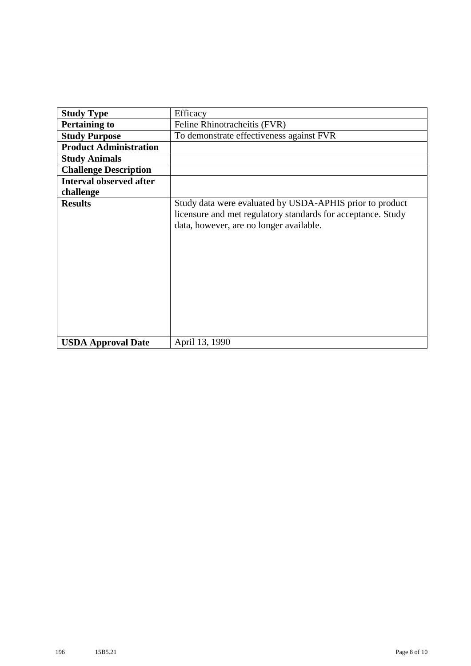| <b>Study Type</b>              | Efficacy                                                                                                                                                            |
|--------------------------------|---------------------------------------------------------------------------------------------------------------------------------------------------------------------|
|                                |                                                                                                                                                                     |
| <b>Pertaining to</b>           | Feline Rhinotracheitis (FVR)                                                                                                                                        |
| <b>Study Purpose</b>           | To demonstrate effectiveness against FVR                                                                                                                            |
| <b>Product Administration</b>  |                                                                                                                                                                     |
| <b>Study Animals</b>           |                                                                                                                                                                     |
| <b>Challenge Description</b>   |                                                                                                                                                                     |
| <b>Interval observed after</b> |                                                                                                                                                                     |
| challenge                      |                                                                                                                                                                     |
| <b>Results</b>                 | Study data were evaluated by USDA-APHIS prior to product<br>licensure and met regulatory standards for acceptance. Study<br>data, however, are no longer available. |
| <b>USDA Approval Date</b>      | April 13, 1990                                                                                                                                                      |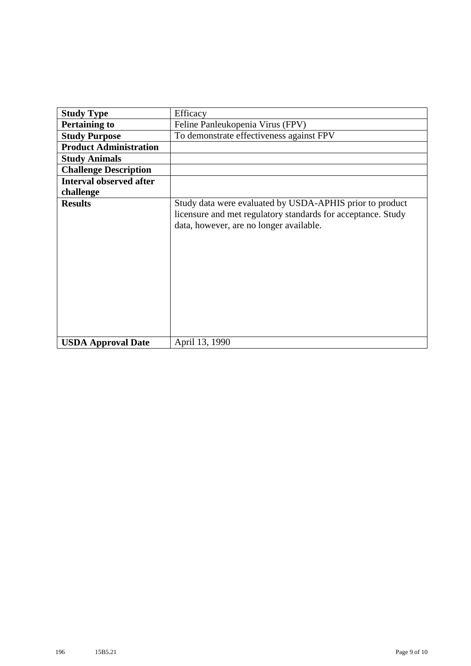| <b>Study Type</b>              | Efficacy                                                                                                                                                            |
|--------------------------------|---------------------------------------------------------------------------------------------------------------------------------------------------------------------|
| <b>Pertaining to</b>           | Feline Panleukopenia Virus (FPV)                                                                                                                                    |
| <b>Study Purpose</b>           | To demonstrate effectiveness against FPV                                                                                                                            |
| <b>Product Administration</b>  |                                                                                                                                                                     |
| <b>Study Animals</b>           |                                                                                                                                                                     |
| <b>Challenge Description</b>   |                                                                                                                                                                     |
| <b>Interval observed after</b> |                                                                                                                                                                     |
| challenge                      |                                                                                                                                                                     |
| <b>Results</b>                 | Study data were evaluated by USDA-APHIS prior to product<br>licensure and met regulatory standards for acceptance. Study<br>data, however, are no longer available. |
| <b>USDA Approval Date</b>      | April 13, 1990                                                                                                                                                      |